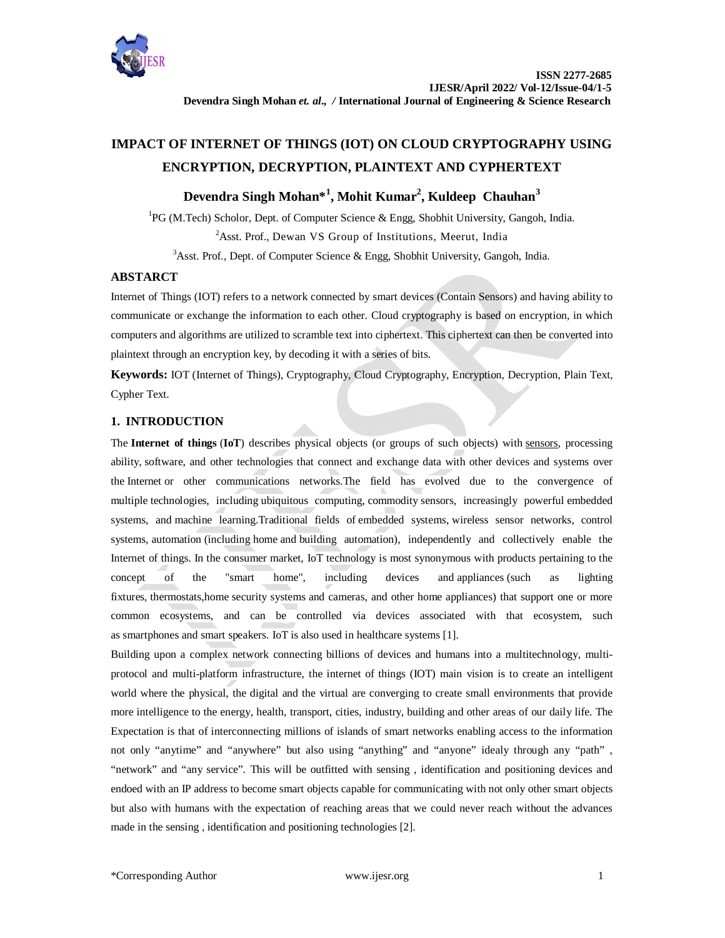

# **IMPACT OF INTERNET OF THINGS (IOT) ON CLOUD CRYPTOGRAPHY USING ENCRYPTION, DECRYPTION, PLAINTEXT AND CYPHERTEXT**

# **Devendra Singh Mohan\*<sup>1</sup> , Mohit Kumar<sup>2</sup> , Kuldeep Chauhan<sup>3</sup>**

<sup>1</sup>PG (M.Tech) Scholor, Dept. of Computer Science & Engg, Shobhit University, Gangoh, India. <sup>2</sup>Asst. Prof., Dewan VS Group of Institutions, Meerut, India <sup>3</sup>Asst. Prof., Dept. of Computer Science & Engg, Shobhit University, Gangoh, India.

## **ABSTARCT**

Internet of Things (IOT) refers to a network connected by smart devices (Contain Sensors) and having ability to communicate or exchange the information to each other. Cloud cryptography is based on encryption, in which computers and algorithms are utilized to scramble text into ciphertext. This ciphertext can then be converted into plaintext through an encryption key, by decoding it with a series of bits.

**Keywords:** IOT (Internet of Things), Cryptography, Cloud Cryptography, Encryption, Decryption, Plain Text, Cypher Text.

# **1. INTRODUCTION**

The **Internet of things** (**IoT**) describes physical objects (or groups of such objects) with sensors, processing ability, software, and other technologies that connect and exchange data with other devices and systems over the Internet or other communications networks.The field has evolved due to the convergence of multiple technologies, including ubiquitous computing, commodity sensors, increasingly powerful embedded systems, and machine learning.Traditional fields of embedded systems, wireless sensor networks, control systems, automation (including home and building automation), independently and collectively enable the Internet of things. In the consumer market, IoT technology is most synonymous with products pertaining to the concept of the "smart home", including devices and appliances (such as lighting fixtures, thermostats,home security systems and cameras, and other home appliances) that support one or more common ecosystems, and can be controlled via devices associated with that ecosystem, such as smartphones and smart speakers. IoT is also used in healthcare systems [1].

Building upon a complex network connecting billions of devices and humans into a multitechnology, multiprotocol and multi-platform infrastructure, the internet of things (IOT) main vision is to create an intelligent world where the physical, the digital and the virtual are converging to create small environments that provide more intelligence to the energy, health, transport, cities, industry, building and other areas of our daily life. The Expectation is that of interconnecting millions of islands of smart networks enabling access to the information not only "anytime" and "anywhere" but also using "anything" and "anyone" idealy through any "path" , "network" and "any service". This will be outfitted with sensing , identification and positioning devices and endoed with an IP address to become smart objects capable for communicating with not only other smart objects but also with humans with the expectation of reaching areas that we could never reach without the advances made in the sensing , identification and positioning technologies [2].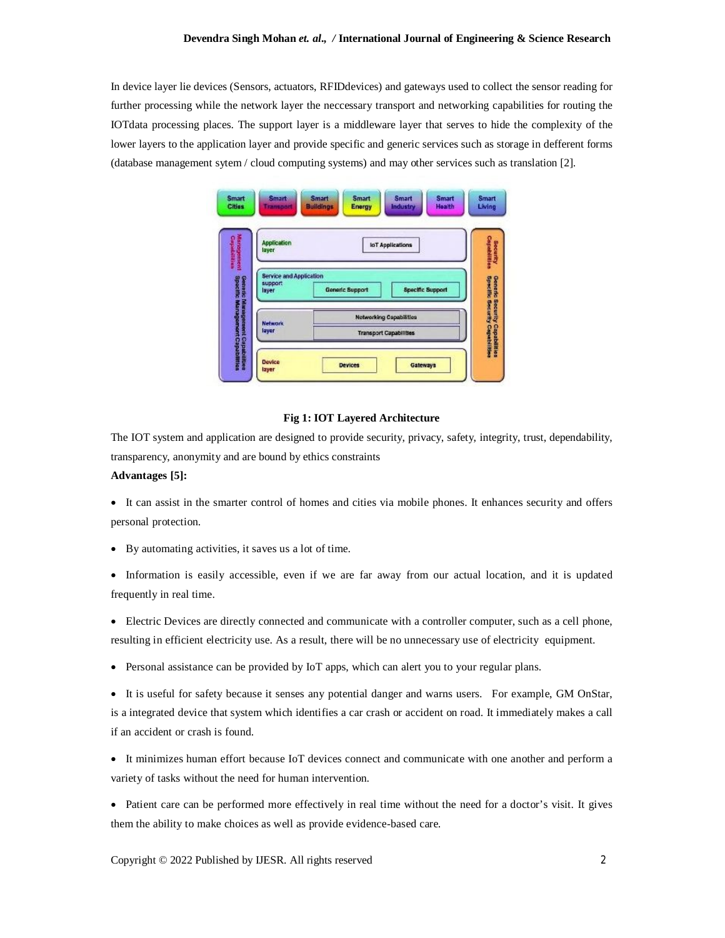In device layer lie devices (Sensors, actuators, RFIDdevices) and gateways used to collect the sensor reading for further processing while the network layer the neccessary transport and networking capabilities for routing the IOTdata processing places. The support layer is a middleware layer that serves to hide the complexity of the lower layers to the application layer and provide specific and generic services such as storage in defferent forms (database management sytem / cloud computing systems) and may other services such as translation [2].

| <b>Management</b><br>Capabilities<br>Application<br>layer                              |                        | <b>IoT Applications</b>                                         |
|----------------------------------------------------------------------------------------|------------------------|-----------------------------------------------------------------|
| Service and Application<br><b>Specific Management Capabilities</b><br>support<br>layer | <b>Generic Support</b> | <b>Specific Support</b>                                         |
| Generic Mariagenerit Capabilities<br><b>Network</b><br>layer                           |                        | <b>Networking Capabilities</b><br><b>Transport Capabilities</b> |

#### **Fig 1: IOT Layered Architecture**

The IOT system and application are designed to provide security, privacy, safety, integrity, trust, dependability, transparency, anonymity and are bound by ethics constraints

## **Advantages [5]:**

 It can assist in the smarter control of homes and cities via mobile phones. It enhances security and offers personal protection.

- By automating activities, it saves us a lot of time.
- Information is easily accessible, even if we are far away from our actual location, and it is updated frequently in real time.

 Electric Devices are directly connected and communicate with a controller computer, such as a cell phone, resulting in efficient electricity use. As a result, there will be no unnecessary use of electricity equipment.

- Personal assistance can be provided by IoT apps, which can alert you to your regular plans.
- It is useful for safety because it senses any potential danger and warns users. For example, GM OnStar, is a integrated device that system which identifies a car crash or accident on road. It immediately makes a call if an accident or crash is found.
- It minimizes human effort because IoT devices connect and communicate with one another and perform a variety of tasks without the need for human intervention.
- Patient care can be performed more effectively in real time without the need for a doctor's visit. It gives them the ability to make choices as well as provide evidence-based care.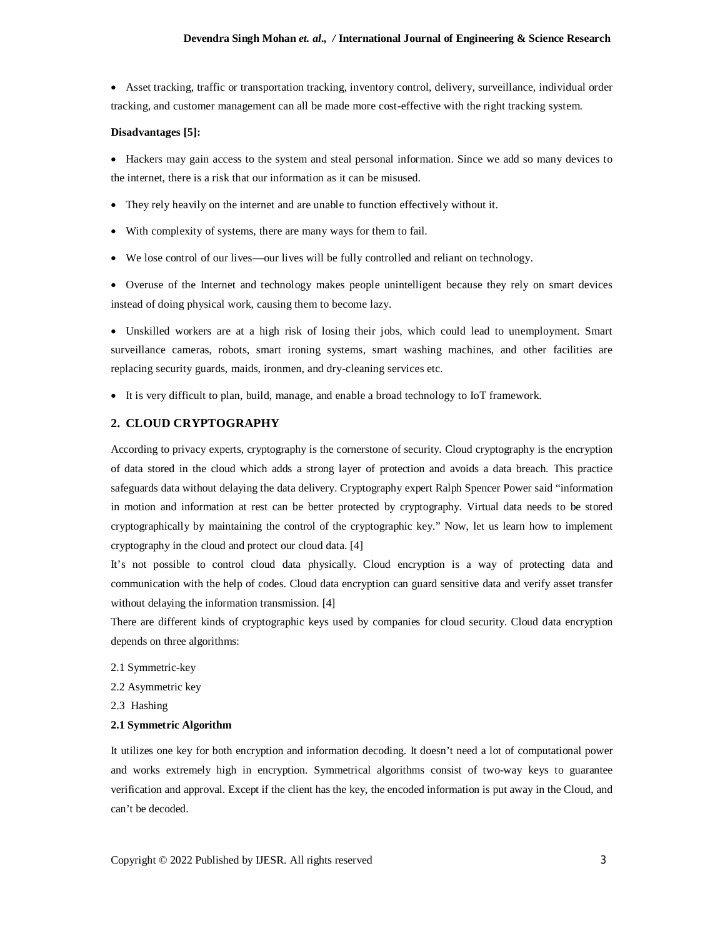Asset tracking, traffic or transportation tracking, inventory control, delivery, surveillance, individual order tracking, and customer management can all be made more cost-effective with the right tracking system.

#### **Disadvantages [5]:**

 Hackers may gain access to the system and steal personal information. Since we add so many devices to the internet, there is a risk that our information as it can be misused.

- They rely heavily on the internet and are unable to function effectively without it.
- With complexity of systems, there are many ways for them to fail.
- We lose control of our lives—our lives will be fully controlled and reliant on technology.

 Overuse of the Internet and technology makes people unintelligent because they rely on smart devices instead of doing physical work, causing them to become lazy.

 Unskilled workers are at a high risk of losing their jobs, which could lead to unemployment. Smart surveillance cameras, robots, smart ironing systems, smart washing machines, and other facilities are replacing security guards, maids, ironmen, and dry-cleaning services etc.

It is very difficult to plan, build, manage, and enable a broad technology to IoT framework.

## **2. CLOUD CRYPTOGRAPHY**

According to privacy experts, cryptography is the cornerstone of security. Cloud cryptography is the encryption of data stored in the cloud which adds a strong layer of protection and avoids a data breach. This practice safeguards data without delaying the data delivery. Cryptography expert Ralph Spencer Power said "information in motion and information at rest can be better protected by cryptography. Virtual data needs to be stored cryptographically by maintaining the control of the cryptographic key." Now, let us learn how to implement cryptography in the cloud and protect our cloud data. [4]

It's not possible to control cloud data physically. Cloud encryption is a way of protecting data and communication with the help of codes. Cloud data encryption can guard sensitive data and verify asset transfer without delaying the information transmission. [4]

There are different kinds of cryptographic keys used by companies for cloud security. Cloud data encryption depends on three algorithms:

- 2.1 Symmetric-key
- 2.2 Asymmetric key

2.3 Hashing

#### **2.1 Symmetric Algorithm**

It utilizes one key for both encryption and information decoding. It doesn't need a lot of computational power and works extremely high in encryption. Symmetrical algorithms consist of two-way keys to guarantee verification and approval. Except if the client has the key, the encoded information is put away in the Cloud, and can't be decoded.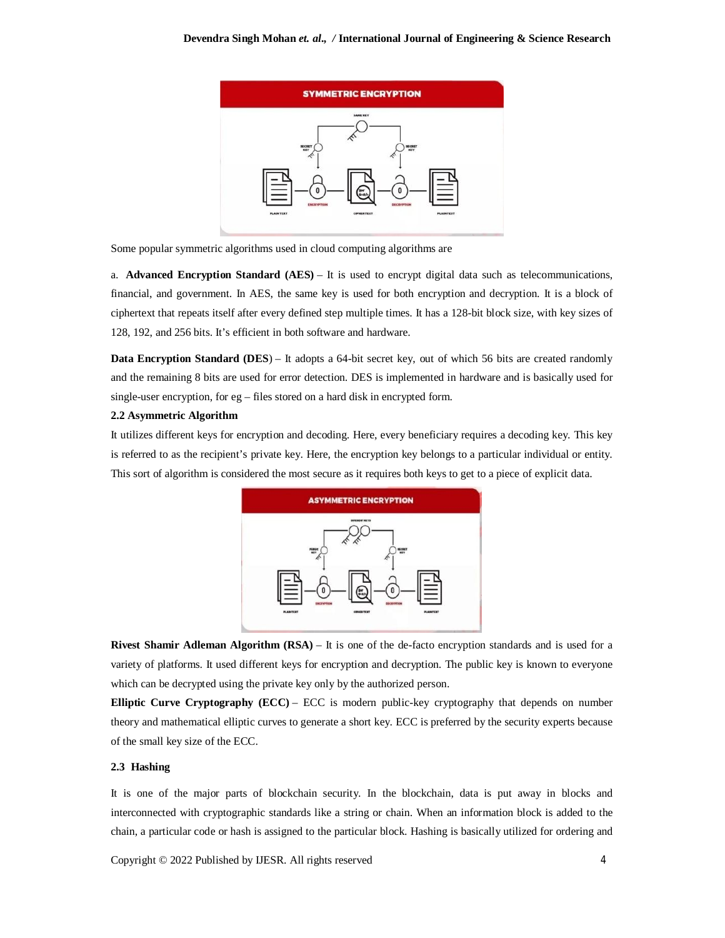

Some popular symmetric algorithms used in cloud computing algorithms are

a. **Advanced Encryption Standard (AES)** – It is used to encrypt digital data such as telecommunications, financial, and government. In AES, the same key is used for both encryption and decryption. It is a block of ciphertext that repeats itself after every defined step multiple times. It has a 128-bit block size, with key sizes of 128, 192, and 256 bits. It's efficient in both software and hardware.

**Data Encryption Standard (DES)** – It adopts a 64-bit secret key, out of which 56 bits are created randomly and the remaining 8 bits are used for error detection. DES is implemented in hardware and is basically used for single-user encryption, for eg – files stored on a hard disk in encrypted form.

### **2.2 Asymmetric Algorithm**

It utilizes different keys for encryption and decoding. Here, every beneficiary requires a decoding key. This key is referred to as the recipient's private key. Here, the encryption key belongs to a particular individual or entity. This sort of algorithm is considered the most secure as it requires both keys to get to a piece of explicit data.



**Rivest Shamir Adleman Algorithm (RSA)** – It is one of the de-facto encryption standards and is used for a variety of platforms. It used different keys for encryption and decryption. The public key is known to everyone which can be decrypted using the private key only by the authorized person.

**Elliptic Curve Cryptography (ECC)** – ECC is modern public-key cryptography that depends on number theory and mathematical elliptic curves to generate a short key. ECC is preferred by the security experts because of the small key size of the ECC.

## **2.3 Hashing**

It is one of the major parts of blockchain security. In the blockchain, data is put away in blocks and interconnected with cryptographic standards like a string or chain. When an information block is added to the chain, a particular code or hash is assigned to the particular block. Hashing is basically utilized for ordering and

Copyright © 2022 Published by IJESR. All rights reserved 4